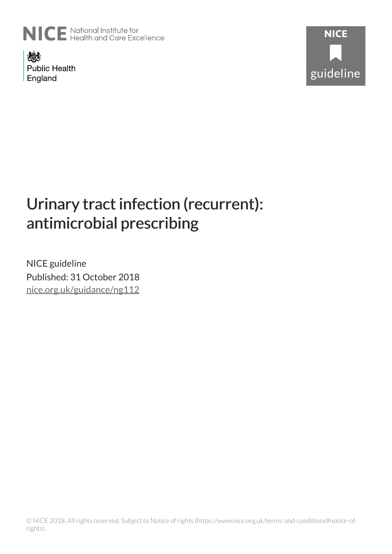

燃料 **Public Health** England



# Urinary tract infection (recurrent): antimicrobial prescribing

NICE guideline Published: 31 October 2018 [nice.org.uk/guidance/ng112](http://nice.org.uk/guidance/ng112)

© NICE 2018. All rights reserved. Subject to Notice of rights (https://www.nice.org.uk/terms-and-conditions#notice-ofrights).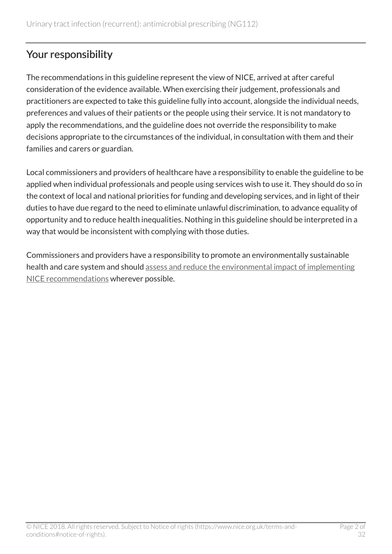# Your responsibility

The recommendations in this guideline represent the view of NICE, arrived at after careful consideration of the evidence available. When exercising their judgement, professionals and practitioners are expected to take this guideline fully into account, alongside the individual needs, preferences and values of their patients or the people using their service. It is not mandatory to apply the recommendations, and the guideline does not override the responsibility to make decisions appropriate to the circumstances of the individual, in consultation with them and their families and carers or guardian.

Local commissioners and providers of healthcare have a responsibility to enable the guideline to be applied when individual professionals and people using services wish to use it. They should do so in the context of local and national priorities for funding and developing services, and in light of their duties to have due regard to the need to eliminate unlawful discrimination, to advance equality of opportunity and to reduce health inequalities. Nothing in this guideline should be interpreted in a way that would be inconsistent with complying with those duties.

Commissioners and providers have a responsibility to promote an environmentally sustainable health and care system and should [assess and reduce the environmental impact of implementing](https://www.nice.org.uk/about/who-we-are/sustainability) [NICE recommendations](https://www.nice.org.uk/about/who-we-are/sustainability) wherever possible.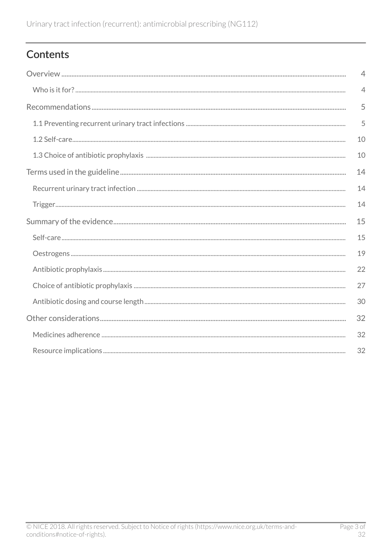# Contents

| $\overline{4}$ |
|----------------|
| $\overline{4}$ |
| 5              |
| 5              |
| 10             |
| 10             |
| 14             |
| 14             |
| 14             |
| 15             |
| 15             |
| 19             |
| 22             |
| 27             |
| 30             |
| 32             |
| 32             |
| 32             |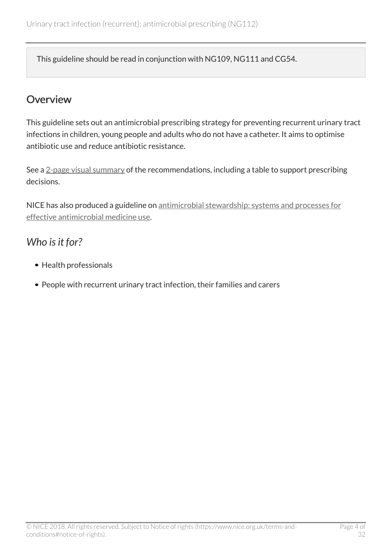This guideline should be read in conjunction with NG109, NG111 and CG54.

### <span id="page-3-0"></span>**Overview**

This guideline sets out an antimicrobial prescribing strategy for preventing recurrent urinary tract infections in children, young people and adults who do not have a catheter. It aims to optimise antibiotic use and reduce antibiotic resistance.

See a [2-page visual summary](https://www.nice.org.uk/guidance/ng112/resources/visual-summary-pdf-6544163629) of the recommendations, including a table to support prescribing decisions.

NICE has also produced a guideline on [antimicrobial stewardship: systems and processes for](http://www.nice.org.uk/guidance/ng15) [effective antimicrobial medicine use](http://www.nice.org.uk/guidance/ng15).

# <span id="page-3-1"></span>*Who is it for?*

- Health professionals
- People with recurrent urinary tract infection, their families and carers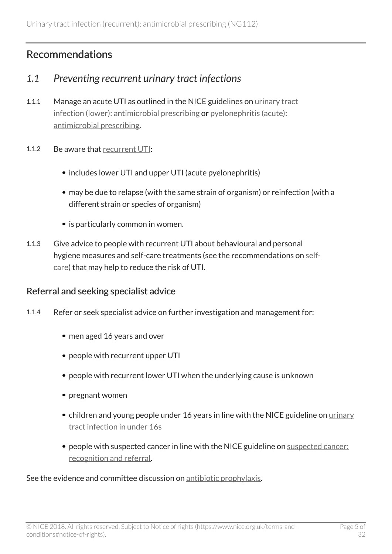# <span id="page-4-0"></span>Recommendations

### <span id="page-4-1"></span>*1.1 Preventing recurrent urinary tract infections*

- 1.1.1 Manage an acute UTI as outlined in the NICE guidelines on [urinary tract](http://www.nice.org.uk/guidance/ng109) [infection \(lower\): antimicrobial prescribing](http://www.nice.org.uk/guidance/ng109) or [pyelonephritis \(acute\):](http://www.nice.org.uk/guidance/ng111) [antimicrobial prescribing.](http://www.nice.org.uk/guidance/ng111)
- 1.1.2 Be aware that [recurrent UTI:](#page-13-1)
	- includes lower UTI and upper UTI (acute pyelonephritis)
	- may be due to relapse (with the same strain of organism) or reinfection (with a different strain or species of organism)
	- is particularly common in women.
- 1.1.3 Give advice to people with recurrent UTI about behavioural and personal hygiene measures and self-care treatments (see the recommendations on [self](#page-9-0)[care](#page-9-0)) that may help to reduce the risk of UTI.

#### Referral and seeking specialist advice

- 1.1.4 Refer or seek specialist advice on further investigation and management for:
	- men aged 16 years and over
	- people with recurrent upper UTI
	- people with recurrent lower UTI when the underlying cause is unknown
	- pregnant women
	- children and young people under 16 years in line with the NICE guideline on [urinary](http://www.nice.org.uk/guidance/cg54) [tract infection in under](http://www.nice.org.uk/guidance/cg54) 16s
	- people with suspected cancer in line with the NICE guideline on [suspected cancer:](http://www.nice.org.uk/guidance/ng12) [recognition and referral.](http://www.nice.org.uk/guidance/ng12)

See the evidence and committee discussion on [antibiotic prophylaxis](#page-21-0).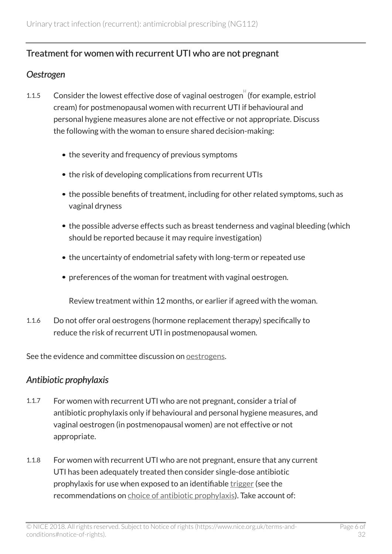### Treatment for women with recurrent UTI who are not pregnant

#### *Oestrogen*

- <span id="page-5-0"></span>[1](#page-12-0).1.5 Consider the lowest effective dose of vaginal oestrogen (for example, estriol cream) for postmenopausal women with recurrent UTI if behavioural and personal hygiene measures alone are not effective or not appropriate. Discuss the following with the woman to ensure shared decision-making:
	- the severity and frequency of previous symptoms
	- the risk of developing complications from recurrent UTIs
	- the possible benefits of treatment, including for other related symptoms, such as vaginal dryness
	- the possible adverse effects such as breast tenderness and vaginal bleeding (which should be reported because it may require investigation)
	- the uncertainty of endometrial safety with long-term or repeated use
	- preferences of the woman for treatment with vaginal oestrogen.

Review treatment within 12 months, or earlier if agreed with the woman.

1.1.6 Do not offer oral oestrogens (hormone replacement therapy) specifically to reduce the risk of recurrent UTI in postmenopausal women.

See the evidence and committee discussion on [oestrogens](#page-18-0).

#### *Antibiotic prophylaxis*

- 1.1.7 For women with recurrent UTI who are not pregnant, consider a trial of antibiotic prophylaxis only if behavioural and personal hygiene measures, and vaginal oestrogen (in postmenopausal women) are not effective or not appropriate.
- 1.1.8 For women with recurrent UTI who are not pregnant, ensure that any current UTI has been adequately treated then consider single-dose antibiotic prophylaxis for use when exposed to an identifiable [trigger](#page-13-2) (see the recommendations on [choice of antibiotic prophylaxis\)](#page-9-1). Take account of: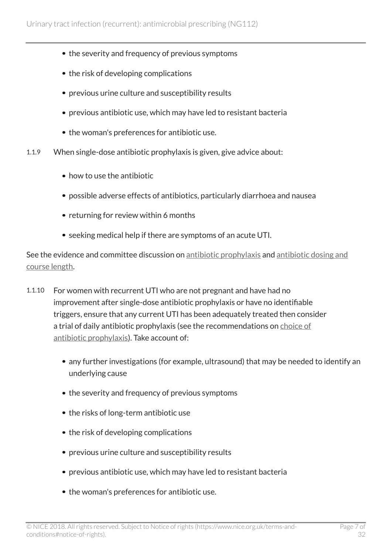- the severity and frequency of previous symptoms
- the risk of developing complications
- previous urine culture and susceptibility results
- previous antibiotic use, which may have led to resistant bacteria
- the woman's preferences for antibiotic use.
- 1.1.9 When single-dose antibiotic prophylaxis is given, give advice about:
	- how to use the antibiotic
	- possible adverse effects of antibiotics, particularly diarrhoea and nausea
	- returning for review within 6 months
	- seeking medical help if there are symptoms of an acute UTI.

See the evidence and committee discussion on [antibiotic prophylaxis](#page-21-0) and [antibiotic dosing and](#page-29-0) [course length.](#page-29-0)

- 1.1.10 For women with recurrent UTI who are not pregnant and have had no improvement after single-dose antibiotic prophylaxis or have no identifiable triggers, ensure that any current UTI has been adequately treated then consider a trial of daily antibiotic prophylaxis (see the recommendations on [choice of](#page-9-1) [antibiotic prophylaxis](#page-9-1)). Take account of:
	- any further investigations (for example, ultrasound) that may be needed to identify an underlying cause
	- the severity and frequency of previous symptoms
	- the risks of long-term antibiotic use
	- the risk of developing complications
	- previous urine culture and susceptibility results
	- previous antibiotic use, which may have led to resistant bacteria
	- the woman's preferences for antibiotic use.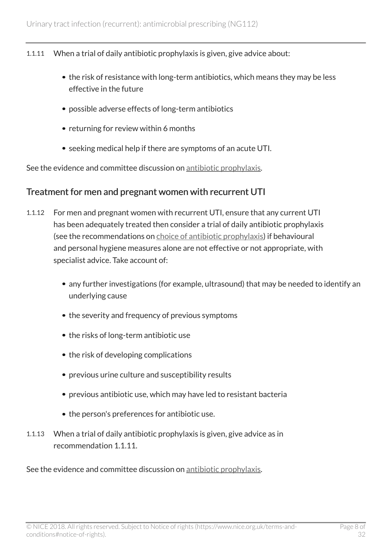- 1.1.11 When a trial of daily antibiotic prophylaxis is given, give advice about:
	- the risk of resistance with long-term antibiotics, which means they may be less effective in the future
	- possible adverse effects of long-term antibiotics
	- returning for review within 6 months
	- seeking medical help if there are symptoms of an acute UTI.

See the evidence and committee discussion on [antibiotic prophylaxis](#page-21-0).

#### Treatment for men and pregnant women with recurrent UTI

- 1.1.12 For men and pregnant women with recurrent UTI, ensure that any current UTI has been adequately treated then consider a trial of daily antibiotic prophylaxis (see the recommendations on [choice of antibiotic prophylaxis\)](#page-9-1) if behavioural and personal hygiene measures alone are not effective or not appropriate, with specialist advice. Take account of:
	- any further investigations (for example, ultrasound) that may be needed to identify an underlying cause
	- the severity and frequency of previous symptoms
	- the risks of long-term antibiotic use
	- the risk of developing complications
	- previous urine culture and susceptibility results
	- previous antibiotic use, which may have led to resistant bacteria
	- the person's preferences for antibiotic use.
- 1.1.13 When a trial of daily antibiotic prophylaxis is given, give advice as in recommendation 1.1.11.

See the evidence and committee discussion on [antibiotic prophylaxis](#page-21-0).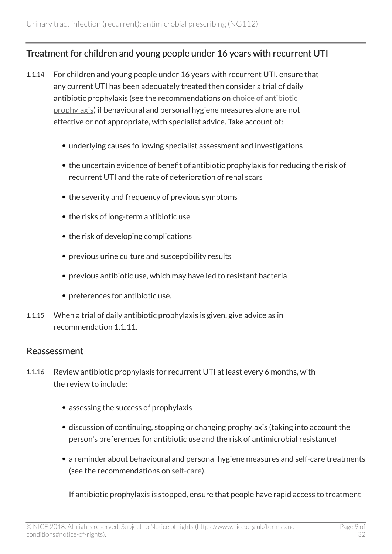### Treatment for children and young people under 16 years with recurrent UTI

- 1.1.14 For children and young people under 16 years with recurrent UTI, ensure that any current UTI has been adequately treated then consider a trial of daily antibiotic prophylaxis (see the recommendations on [choice of antibiotic](#page-9-1) [prophylaxis](#page-9-1)) if behavioural and personal hygiene measures alone are not effective or not appropriate, with specialist advice. Take account of:
	- underlying causes following specialist assessment and investigations
	- the uncertain evidence of benefit of antibiotic prophylaxis for reducing the risk of recurrent UTI and the rate of deterioration of renal scars
	- the severity and frequency of previous symptoms
	- the risks of long-term antibiotic use
	- the risk of developing complications
	- previous urine culture and susceptibility results
	- previous antibiotic use, which may have led to resistant bacteria
	- preferences for antibiotic use.
- 1.1.15 When a trial of daily antibiotic prophylaxis is given, give advice as in recommendation 1.1.11.

#### Reassessment

- 1.1.16 Review antibiotic prophylaxis for recurrent UTI at least every 6 months, with the review to include:
	- assessing the success of prophylaxis
	- discussion of continuing, stopping or changing prophylaxis (taking into account the person's preferences for antibiotic use and the risk of antimicrobial resistance)
	- a reminder about behavioural and personal hygiene measures and self-care treatments (see the recommendations on [self-care\)](#page-9-0).

If antibiotic prophylaxis is stopped, ensure that people have rapid access to treatment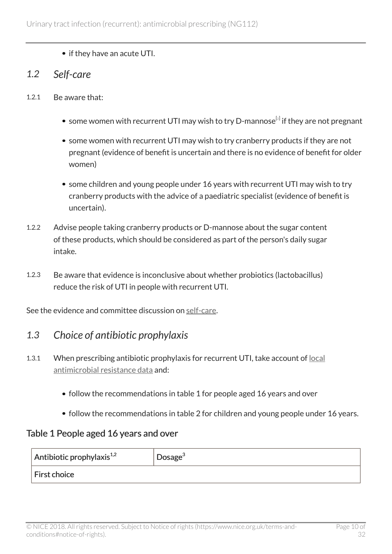• if they have an acute UTI.

### <span id="page-9-0"></span>*1.2 Self-care*

- <span id="page-9-2"></span>1.2.1 Be aware that:
	- some women with recurrent UTI may wish to try D-mannose $^{\lbrack 2]}$  $^{\lbrack 2]}$  $^{\lbrack 2]}$  if they are not pregnant
	- some women with recurrent UTI may wish to try cranberry products if they are not pregnant (evidence of benefit is uncertain and there is no evidence of benefit for older women)
	- some children and young people under 16 years with recurrent UTI may wish to try cranberry products with the advice of a paediatric specialist (evidence of benefit is uncertain).
- 1.2.2 Advise people taking cranberry products or D-mannose about the sugar content of these products, which should be considered as part of the person's daily sugar intake.
- 1.2.3 Be aware that evidence is inconclusive about whether probiotics (lactobacillus) reduce the risk of UTI in people with recurrent UTI.

See the evidence and committee discussion on [self-care.](#page-14-1)

### <span id="page-9-1"></span>*1.3 Choice of antibiotic prophylaxis*

- 1.3.1 When prescribing antibiotic prophylaxis for recurrent UTI, take account of [local](https://fingertips.phe.org.uk/profile/amr-local-indicators) [antimicrobial resistance data](https://fingertips.phe.org.uk/profile/amr-local-indicators) and:
	- follow the recommendations in table 1 for people aged 16 years and over
	- follow the recommendations in table 2 for children and young people under 16 years.

### Table 1 People aged 16 years and over

| $\overline{ }$ Antibiotic prophylaxis <sup>1,2</sup> | Dosage <sup>3</sup> |
|------------------------------------------------------|---------------------|
| First choice                                         |                     |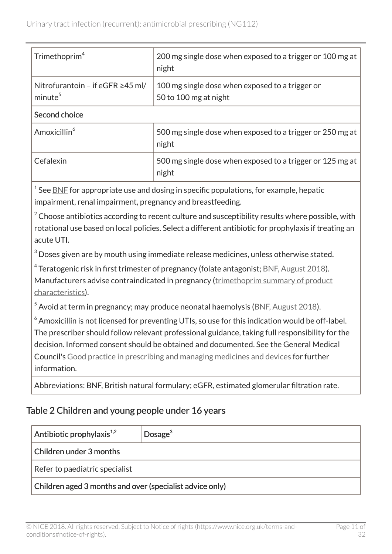| Trimethoprim <sup>4</sup>                                     | 200 mg single dose when exposed to a trigger or 100 mg at<br>night                                                                                                                                             |  |
|---------------------------------------------------------------|----------------------------------------------------------------------------------------------------------------------------------------------------------------------------------------------------------------|--|
| Nitrofurantoin - if eGFR $\geq$ 45 ml/<br>minute <sup>5</sup> | 100 mg single dose when exposed to a trigger or<br>50 to 100 mg at night                                                                                                                                       |  |
| Second choice                                                 |                                                                                                                                                                                                                |  |
| Amoxicillin <sup>6</sup>                                      | 500 mg single dose when exposed to a trigger or 250 mg at<br>night                                                                                                                                             |  |
| Cefalexin                                                     | 500 mg single dose when exposed to a trigger or 125 mg at<br>night                                                                                                                                             |  |
| impairment, renal impairment, pregnancy and breastfeeding.    | $1$ See <u>BNF</u> for appropriate use and dosing in specific populations, for example, hepatic<br>$\frac{2}{3}$ Choose aptibiotics according to recent culture and quecentibility require where peccible with |  |

<sup>2</sup> Choose antibiotics according to recent culture and susceptibility results where possible, with rotational use based on local policies. Select a different antibiotic for prophylaxis if treating an acute UTI.

 $3$  Doses given are by mouth using immediate release medicines, unless otherwise stated.

 $^4$  Teratogenic risk in first trimester of pregnancy (folate antagonist; <u>[BNF, August 2018](https://bnf.nice.org.uk/drug/trimethoprim.html)</u>).

Manufacturers advise contraindicated in pregnancy ([trimethoprim summary of product](https://www.medicines.org.uk/emc/product/5925) [characteristics\)](https://www.medicines.org.uk/emc/product/5925).

 $5$  Avoid at term in pregnancy; may produce neonatal haemolysis [\(BNF, August](https://bnf.nice.org.uk/drug/nitrofurantoin.html) 2018).

 $6$  Amoxicillin is not licensed for preventing UTIs, so use for this indication would be off-label. The prescriber should follow relevant professional guidance, taking full responsibility for the decision. Informed consent should be obtained and documented. See the General Medical Council's [Good practice in prescribing and managing medicines and devices](http://www.gmc-uk.org/guidance/ethical_guidance/14316.asp) for further information.

Abbreviations: BNF, British natural formulary; eGFR, estimated glomerular filtration rate.

### Table 2 Children and young people under 16 years

| Antibiotic prophylaxis $^{1,2}$                          | $D$ osage $3$ |  |  |
|----------------------------------------------------------|---------------|--|--|
| Children under 3 months                                  |               |  |  |
| Refer to paediatric specialist                           |               |  |  |
| Children aged 3 months and over (specialist advice only) |               |  |  |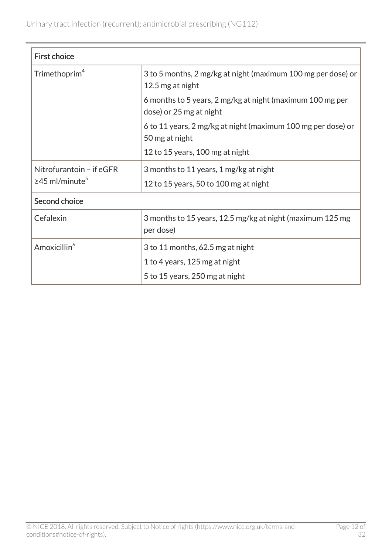| <b>First choice</b>                                          |                                                                                      |  |
|--------------------------------------------------------------|--------------------------------------------------------------------------------------|--|
| Trimethoprim <sup>4</sup>                                    | 3 to 5 months, 2 mg/kg at night (maximum 100 mg per dose) or<br>12.5 mg at night     |  |
|                                                              | 6 months to 5 years, 2 mg/kg at night (maximum 100 mg per<br>dose) or 25 mg at night |  |
|                                                              | 6 to 11 years, 2 mg/kg at night (maximum 100 mg per dose) or<br>50 mg at night       |  |
|                                                              | 12 to 15 years, 100 mg at night                                                      |  |
| Nitrofurantoin - if eGFR<br>$\geq$ 45 ml/minute <sup>5</sup> | 3 months to 11 years, 1 mg/kg at night                                               |  |
|                                                              | 12 to 15 years, 50 to 100 mg at night                                                |  |
| Second choice                                                |                                                                                      |  |
| Cefalexin                                                    | 3 months to 15 years, 12.5 mg/kg at night (maximum 125 mg)<br>per dose)              |  |
| Amoxicillin <sup>6</sup>                                     | 3 to 11 months, 62.5 mg at night                                                     |  |
|                                                              | 1 to 4 years, 125 mg at night                                                        |  |
|                                                              | 5 to 15 years, 250 mg at night                                                       |  |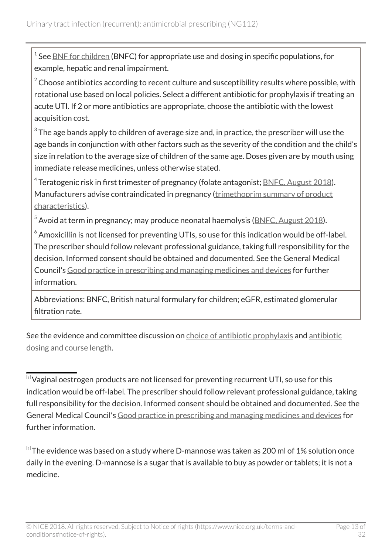$^1$  See  $\underline{\mathsf{BNF}}$  for children (BNFC) for appropriate use and dosing in specific populations, for example, hepatic and renal impairment.

 $2\degree$  Choose antibiotics according to recent culture and susceptibility results where possible, with rotational use based on local policies. Select a different antibiotic for prophylaxis if treating an acute UTI. If 2 or more antibiotics are appropriate, choose the antibiotic with the lowest acquisition cost.

 $^{\rm 3}$  The age bands apply to children of average size and, in practice, the prescriber will use the age bands in conjunction with other factors such as the severity of the condition and the child's size in relation to the average size of children of the same age. Doses given are by mouth using immediate release medicines, unless otherwise stated.

 $^4$  Teratogenic risk in first trimester of pregnancy (folate antagonist; <u>BNFC, August 2018</u>). Manufacturers advise contraindicated in pregnancy ([trimethoprim summary of product](https://www.medicines.org.uk/emc/product/5925) [characteristics\)](https://www.medicines.org.uk/emc/product/5925).

 $^5$  Avoid at term in pregnancy; may produce neonatal haemolysis ( $BNEC$ , August 2018).

 $6$  Amoxicillin is not licensed for preventing UTIs, so use for this indication would be off-label. The prescriber should follow relevant professional guidance, taking full responsibility for the decision. Informed consent should be obtained and documented. See the General Medical Council's [Good practice in prescribing and managing medicines and devices](http://www.gmc-uk.org/guidance/ethical_guidance/14316.asp) for further information.

Abbreviations: BNFC, British natural formulary for children; eGFR, estimated glomerular filtration rate.

See the evidence and committee discussion on [choice of antibiotic prophylaxis](#page-26-0) and [antibiotic](#page-29-0) [dosing and course length](#page-29-0).

<span id="page-12-0"></span><sup>[</sup>[1](#page-5-0)] Vaginal oestrogen products are not licensed for preventing recurrent UTI, so use for this indication would be off-label. The prescriber should follow relevant professional guidance, taking full responsibility for the decision. Informed consent should be obtained and documented. See the General Medical Council's [Good practice in prescribing and managing medicines and devices](http://www.gmc-uk.org/guidance/ethical_guidance/14316.asp) for further information.

<span id="page-12-1"></span> $^{\text{\tiny{[2]}}}$  $^{\text{\tiny{[2]}}}$  $^{\text{\tiny{[2]}}}$ The evidence was based on a study where D-mannose was taken as 200 ml of 1% solution once daily in the evening. D-mannose is a sugar that is available to buy as powder or tablets; it is not a medicine.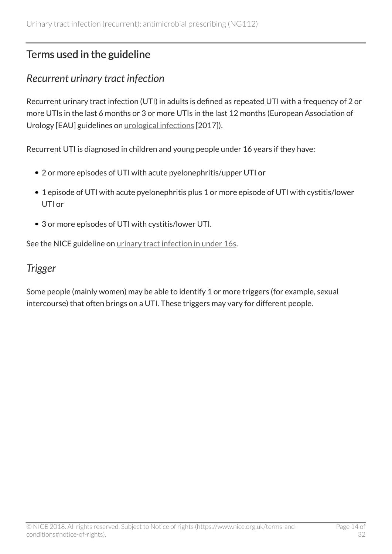# <span id="page-13-0"></span>Terms used in the guideline

### <span id="page-13-1"></span>*Recurrent urinary tract infection*

Recurrent urinary tract infection (UTI) in adults is defined as repeated UTI with a frequency of 2 or more UTIs in the last 6 months or 3 or more UTIs in the last 12 months (European Association of Urology [EAU] guidelines on [urological infections](http://uroweb.org/guideline/urological-infections/) [2017]).

Recurrent UTI is diagnosed in children and young people under 16 years if they have:

- 2 or more episodes of UTI with acute pyelonephritis/upper UTI or
- 1 episode of UTI with acute pyelonephritis plus 1 or more episode of UTI with cystitis/lower UTI or
- 3 or more episodes of UTI with cystitis/lower UTI.

See the NICE guideline on [urinary tract infection in under](http://www.nice.org.uk/guidance/cg54) 16s.

### <span id="page-13-2"></span>*Trigger*

Some people (mainly women) may be able to identify 1 or more triggers (for example, sexual intercourse) that often brings on a UTI. These triggers may vary for different people.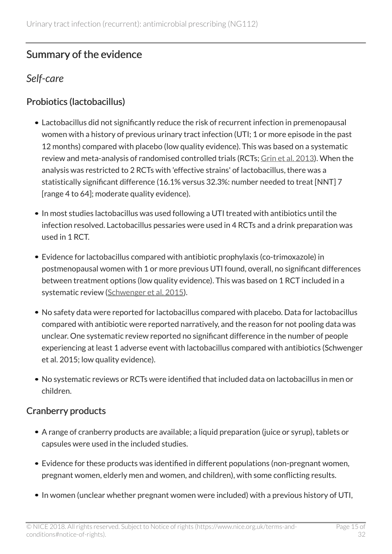# <span id="page-14-0"></span>Summary of the evidence

### <span id="page-14-1"></span>*Self-care*

### Probiotics (lactobacillus)

- Lactobacillus did not significantly reduce the risk of recurrent infection in premenopausal women with a history of previous urinary tract infection (UTI; 1 or more episode in the past 12 months) compared with placebo (low quality evidence). This was based on a systematic review and meta-analysis of randomised controlled trials (RCTs; [Grin et al. 2013](https://www.ncbi.nlm.nih.gov/pubmed/23433130)). When the analysis was restricted to 2 RCTs with 'effective strains' of lactobacillus, there was a statistically significant difference (16.1% versus 32.3%: number needed to treat [NNT] 7 [range 4 to 64]; moderate quality evidence).
- In most studies lactobacillus was used following a UTI treated with antibiotics until the infection resolved. Lactobacillus pessaries were used in 4 RCTs and a drink preparation was used in 1 RCT.
- Evidence for lactobacillus compared with antibiotic prophylaxis (co-trimoxazole) in postmenopausal women with 1 or more previous UTI found, overall, no significant differences between treatment options (low quality evidence). This was based on 1 RCT included in a systematic review ([Schwenger et al.](http://onlinelibrary.wiley.com/doi/10.1002/14651858.CD008772.pub2/full) 2015).
- No safety data were reported for lactobacillus compared with placebo. Data for lactobacillus compared with antibiotic were reported narratively, and the reason for not pooling data was unclear. One systematic review reported no significant difference in the number of people experiencing at least 1 adverse event with lactobacillus compared with antibiotics (Schwenger et al. 2015; low quality evidence).
- No systematic reviews or RCTs were identified that included data on lactobacillus in men or children.

### Cranberry products

- A range of cranberry products are available; a liquid preparation (juice or syrup), tablets or capsules were used in the included studies.
- Evidence for these products was identified in different populations (non-pregnant women, pregnant women, elderly men and women, and children), with some conflicting results.
- In women (unclear whether pregnant women were included) with a previous history of UTI,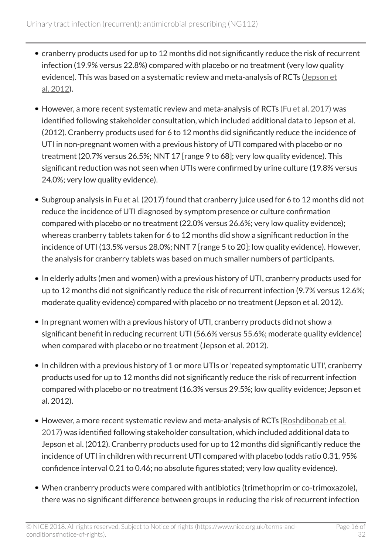- cranberry products used for up to 12 months did not significantly reduce the risk of recurrent infection (19.9% versus 22.8%) compared with placebo or no treatment (very low quality evidence). This was based on a systematic review and meta-analysis of RCTs [\(Jepson et](http://onlinelibrary.wiley.com/doi/10.1002/14651858.CD001321.pub5/abstract) al. [2012](http://onlinelibrary.wiley.com/doi/10.1002/14651858.CD001321.pub5/abstract)).
- However, a more recent systematic review and meta-analysis of RCTs [\(Fu et al. 2017\)](https://www.ncbi.nlm.nih.gov/pubmed/?term=fu+cranberries+uti+2017) was identified following stakeholder consultation, which included additional data to Jepson et al. (2012). Cranberry products used for 6 to 12 months did significantly reduce the incidence of UTI in non-pregnant women with a previous history of UTI compared with placebo or no treatment (20.7% versus 26.5%; NNT 17 [range 9 to 68]; very low quality evidence). This significant reduction was not seen when UTIs were confirmed by urine culture (19.8% versus 24.0%; very low quality evidence).
- Subgroup analysis in Fu et al. (2017) found that cranberry juice used for 6 to 12 months did not reduce the incidence of UTI diagnosed by symptom presence or culture confirmation compared with placebo or no treatment (22.0% versus 26.6%; very low quality evidence); whereas cranberry tablets taken for 6 to 12 months did show a significant reduction in the incidence of UTI (13.5% versus 28.0%; NNT 7 [range 5 to 20]; low quality evidence). However, the analysis for cranberry tablets was based on much smaller numbers of participants.
- In elderly adults (men and women) with a previous history of UTI, cranberry products used for up to 12 months did not significantly reduce the risk of recurrent infection (9.7% versus 12.6%; moderate quality evidence) compared with placebo or no treatment (Jepson et al. 2012).
- In pregnant women with a previous history of UTI, cranberry products did not show a significant benefit in reducing recurrent UTI (56.6% versus 55.6%; moderate quality evidence) when compared with placebo or no treatment (Jepson et al. 2012).
- In children with a previous history of 1 or more UTIs or 'repeated symptomatic UTI', cranberry products used for up to 12 months did not significantly reduce the risk of recurrent infection compared with placebo or no treatment (16.3% versus 29.5%; low quality evidence; Jepson et al. 2012).
- However, a more recent systematic review and meta-analysis of RCTs ([Roshdibonab et al.](http://ijp.mums.ac.ir/article_9531_cc1a1eabaf9e9d5c9382f18717880c59.pdf)  $2017$ ) was identified following stakeholder consultation, which included additional data to Jepson et al. (2012). Cranberry products used for up to 12 months did significantly reduce the incidence of UTI in children with recurrent UTI compared with placebo (odds ratio 0.31, 95% confidence interval 0.21 to 0.46; no absolute figures stated; very low quality evidence).
- When cranberry products were compared with antibiotics (trimethoprim or co-trimoxazole), there was no significant difference between groups in reducing the risk of recurrent infection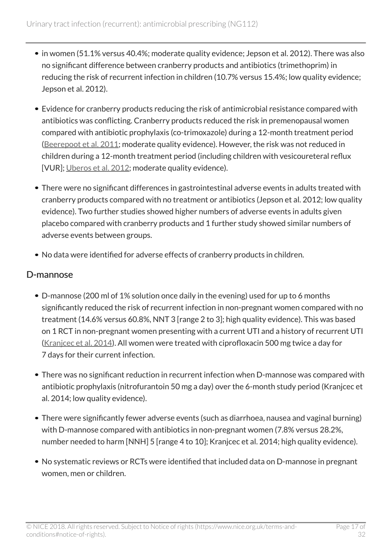- in women (51.1% versus 40.4%; moderate quality evidence; Jepson et al. 2012). There was also no significant difference between cranberry products and antibiotics (trimethoprim) in reducing the risk of recurrent infection in children (10.7% versus 15.4%; low quality evidence; Jepson et al. 2012).
- Evidence for cranberry products reducing the risk of antimicrobial resistance compared with antibiotics was conflicting. Cranberry products reduced the risk in premenopausal women compared with antibiotic prophylaxis (co-trimoxazole) during a 12-month treatment period ([Beerepoot et al. 2011](https://jamanetwork.com/journals/jamainternalmedicine/fullarticle/1105854); moderate quality evidence). However, the risk was not reduced in children during a 12-month treatment period (including children with vesicoureteral reflux [VUR]; [Uberos et al. 2012](https://www.dovepress.com/cranberry-syrup-vs-trimethoprim-in-the-prophylaxis-of-recurrent-urinar-peer-reviewed-article-OAJCT); moderate quality evidence).
- There were no significant differences in gastrointestinal adverse events in adults treated with cranberry products compared with no treatment or antibiotics (Jepson et al. 2012; low quality evidence). Two further studies showed higher numbers of adverse events in adults given placebo compared with cranberry products and 1 further study showed similar numbers of adverse events between groups.
- No data were identified for adverse effects of cranberry products in children.

#### D-mannose

- D-mannose (200 ml of 1% solution once daily in the evening) used for up to 6 months significantly reduced the risk of recurrent infection in non-pregnant women compared with no treatment (14.6% versus 60.8%, NNT 3 [range 2 to 3]; high quality evidence). This was based on 1 RCT in non-pregnant women presenting with a current UTI and a history of recurrent UTI ([Kranjcec et al. 2014](https://link.springer.com/article/10.1007/s00345-013-1091-6)). All women were treated with ciprofloxacin 500 mg twice a day for 7 days for their current infection.
- There was no significant reduction in recurrent infection when D-mannose was compared with antibiotic prophylaxis (nitrofurantoin 50 mg a day) over the 6-month study period (Kranjcec et al. 2014; low quality evidence).
- There were significantly fewer adverse events (such as diarrhoea, nausea and vaginal burning) with D-mannose compared with antibiotics in non-pregnant women (7.8% versus 28.2%, number needed to harm [NNH] 5 [range 4 to 10]; Kranjcec et al. 2014; high quality evidence).
- No systematic reviews or RCTs were identified that included data on D-mannose in pregnant women, men or children.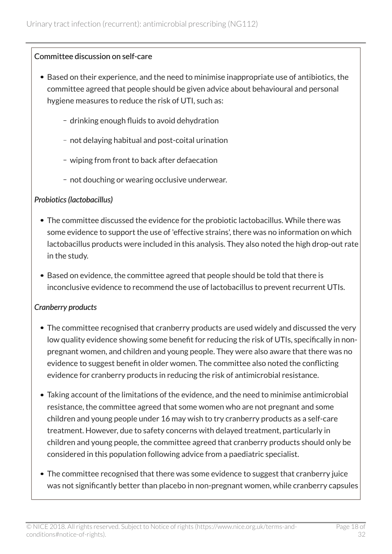#### Committee discussion on self-care

- Based on their experience, and the need to minimise inappropriate use of antibiotics, the committee agreed that people should be given advice about behavioural and personal hygiene measures to reduce the risk of UTI, such as:
	- drinking enough fluids to avoid dehydration
	- not delaying habitual and post-coital urination
	- wiping from front to back after defaecation
	- not douching or wearing occlusive underwear.

#### *Probiotics (lactobacillus)*

- The committee discussed the evidence for the probiotic lactobacillus. While there was some evidence to support the use of 'effective strains', there was no information on which lactobacillus products were included in this analysis. They also noted the high drop-out rate in the study.
- Based on evidence, the committee agreed that people should be told that there is inconclusive evidence to recommend the use of lactobacillus to prevent recurrent UTIs.

#### *Cranberry products*

- The committee recognised that cranberry products are used widely and discussed the very low quality evidence showing some benefit for reducing the risk of UTIs, specifically in nonpregnant women, and children and young people. They were also aware that there was no evidence to suggest benefit in older women. The committee also noted the conflicting evidence for cranberry products in reducing the risk of antimicrobial resistance.
- Taking account of the limitations of the evidence, and the need to minimise antimicrobial resistance, the committee agreed that some women who are not pregnant and some children and young people under 16 may wish to try cranberry products as a self-care treatment. However, due to safety concerns with delayed treatment, particularly in children and young people, the committee agreed that cranberry products should only be considered in this population following advice from a paediatric specialist.
- The committee recognised that there was some evidence to suggest that cranberry juice was not significantly better than placebo in non-pregnant women, while cranberry capsules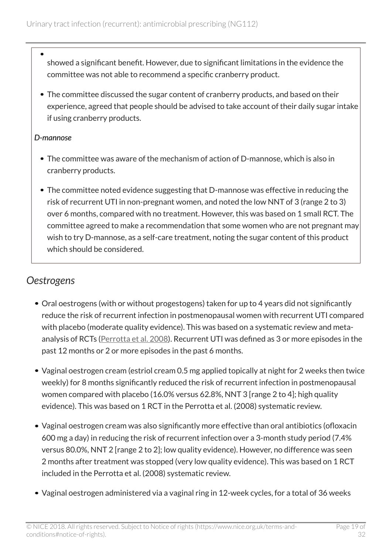- showed a significant benefit. However, due to significant limitations in the evidence the committee was not able to recommend a specific cranberry product.
- The committee discussed the sugar content of cranberry products, and based on their experience, agreed that people should be advised to take account of their daily sugar intake if using cranberry products.

#### *D-mannose*

- The committee was aware of the mechanism of action of D-mannose, which is also in cranberry products.
- The committee noted evidence suggesting that D-mannose was effective in reducing the risk of recurrent UTI in non-pregnant women, and noted the low NNT of 3 (range 2 to 3) over 6 months, compared with no treatment. However, this was based on 1 small RCT. The committee agreed to make a recommendation that some women who are not pregnant may wish to try D-mannose, as a self-care treatment, noting the sugar content of this product which should be considered.

### <span id="page-18-0"></span>*Oestrogens*

- Oral oestrogens (with or without progestogens) taken for up to 4 years did not significantly reduce the risk of recurrent infection in postmenopausal women with recurrent UTI compared with placebo (moderate quality evidence). This was based on a systematic review and meta-analysis of RCTs [\(Perrotta et al. 2008](http://onlinelibrary.wiley.com/doi/10.1002/14651858.CD005131.pub2/full)). Recurrent UTI was defined as 3 or more episodes in the past 12 months or 2 or more episodes in the past 6 months.
- Vaginal oestrogen cream (estriol cream 0.5 mg applied topically at night for 2 weeks then twice weekly) for 8 months significantly reduced the risk of recurrent infection in postmenopausal women compared with placebo (16.0% versus 62.8%, NNT 3 [range 2 to 4]; high quality evidence). This was based on 1 RCT in the Perrotta et al. (2008) systematic review.
- Vaginal oestrogen cream was also significantly more effective than oral antibiotics (ofloxacin 600 mg a day) in reducing the risk of recurrent infection over a 3-month study period (7.4% versus 80.0%, NNT 2 [range 2 to 2]; low quality evidence). However, no difference was seen 2 months after treatment was stopped (very low quality evidence). This was based on 1 RCT included in the Perrotta et al. (2008) systematic review.
- Vaginal oestrogen administered via a vaginal ring in 12-week cycles, for a total of 36 weeks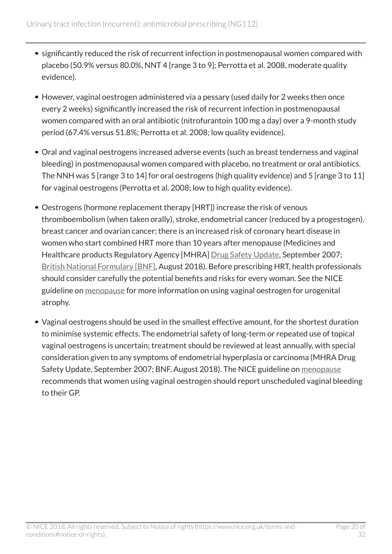- significantly reduced the risk of recurrent infection in postmenopausal women compared with placebo (50.9% versus 80.0%, NNT 4 [range 3 to 9]; Perrotta et al. 2008, moderate quality evidence).
- However, vaginal oestrogen administered via a pessary (used daily for 2 weeks then once every 2 weeks) significantly increased the risk of recurrent infection in postmenopausal women compared with an oral antibiotic (nitrofurantoin 100 mg a day) over a 9-month study period (67.4% versus 51.8%; Perrotta et al. 2008; low quality evidence).
- Oral and vaginal oestrogens increased adverse events (such as breast tenderness and vaginal bleeding) in postmenopausal women compared with placebo, no treatment or oral antibiotics. The NNH was 5 [range 3 to 14] for oral oestrogens (high quality evidence) and 5 [range 3 to 11] for vaginal oestrogens (Perrotta et al. 2008; low to high quality evidence).
- Oestrogens (hormone replacement therapy [HRT]) increase the risk of venous thromboembolism (when taken orally), stroke, endometrial cancer (reduced by a progestogen), breast cancer and ovarian cancer; there is an increased risk of coronary heart disease in women who start combined HRT more than 10 years after menopause (Medicines and Healthcare products Regulatory Agency [MHRA] [Drug Safety Update](https://www.gov.uk/drug-safety-update/hormone-replacement-therapy-updated-advice), September 2007; [British National Formulary \[BNF\],](https://bnf.nice.org.uk/treatment-summary/sex-hormones.html) August 2018). Before prescribing HRT, health professionals should consider carefully the potential benefits and risks for every woman. See the NICE guideline on [menopause](http://www.nice.org.uk/guidance/ng23) for more information on using vaginal oestrogen for urogenital atrophy.
- Vaginal oestrogens should be used in the smallest effective amount, for the shortest duration to minimise systemic effects. The endometrial safety of long-term or repeated use of topical vaginal oestrogens is uncertain; treatment should be reviewed at least annually, with special consideration given to any symptoms of endometrial hyperplasia or carcinoma (MHRA Drug Safety Update, September 2007; BNF, August 2018). The NICE guideline on [menopause](http://www.nice.org.uk/guidance/ng23) recommends that women using vaginal oestrogen should report unscheduled vaginal bleeding to their GP.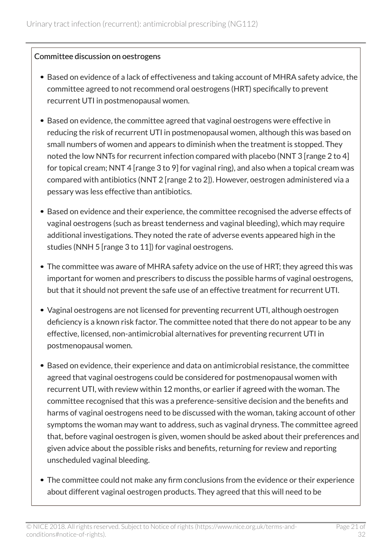#### Committee discussion on oestrogens

- Based on evidence of a lack of effectiveness and taking account of MHRA safety advice, the committee agreed to not recommend oral oestrogens (HRT) specifically to prevent recurrent UTI in postmenopausal women.
- Based on evidence, the committee agreed that vaginal oestrogens were effective in reducing the risk of recurrent UTI in postmenopausal women, although this was based on small numbers of women and appears to diminish when the treatment is stopped. They noted the low NNTs for recurrent infection compared with placebo (NNT 3 [range 2 to 4] for topical cream; NNT 4 [range 3 to 9] for vaginal ring), and also when a topical cream was compared with antibiotics (NNT 2 [range 2 to 2]). However, oestrogen administered via a pessary was less effective than antibiotics.
- Based on evidence and their experience, the committee recognised the adverse effects of vaginal oestrogens (such as breast tenderness and vaginal bleeding), which may require additional investigations. They noted the rate of adverse events appeared high in the studies (NNH 5 [range 3 to 11]) for vaginal oestrogens.
- The committee was aware of MHRA safety advice on the use of HRT; they agreed this was important for women and prescribers to discuss the possible harms of vaginal oestrogens, but that it should not prevent the safe use of an effective treatment for recurrent UTI.
- Vaginal oestrogens are not licensed for preventing recurrent UTI, although oestrogen deficiency is a known risk factor. The committee noted that there do not appear to be any effective, licensed, non-antimicrobial alternatives for preventing recurrent UTI in postmenopausal women.
- Based on evidence, their experience and data on antimicrobial resistance, the committee agreed that vaginal oestrogens could be considered for postmenopausal women with recurrent UTI, with review within 12 months, or earlier if agreed with the woman. The committee recognised that this was a preference-sensitive decision and the benefits and harms of vaginal oestrogens need to be discussed with the woman, taking account of other symptoms the woman may want to address, such as vaginal dryness. The committee agreed that, before vaginal oestrogen is given, women should be asked about their preferences and given advice about the possible risks and benefits, returning for review and reporting unscheduled vaginal bleeding.
- The committee could not make any firm conclusions from the evidence or their experience about different vaginal oestrogen products. They agreed that this will need to be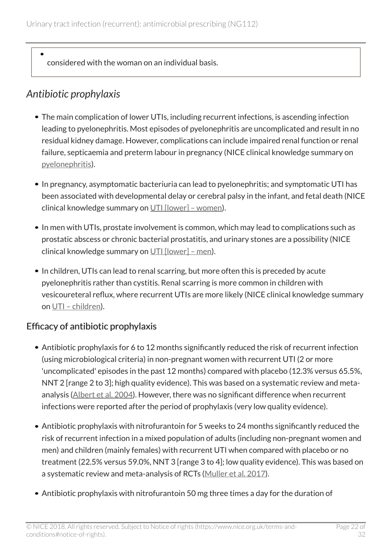considered with the woman on an individual basis.

# <span id="page-21-0"></span>*Antibiotic prophylaxis*

- The main complication of lower UTIs, including recurrent infections, is ascending infection leading to pyelonephritis. Most episodes of pyelonephritis are uncomplicated and result in no residual kidney damage. However, complications can include impaired renal function or renal failure, septicaemia and preterm labour in pregnancy (NICE clinical knowledge summary on [pyelonephritis\)](https://cks.nice.org.uk/pyelonephritis-acute).
- In pregnancy, asymptomatic bacteriuria can lead to pyelonephritis; and symptomatic UTI has been associated with developmental delay or cerebral palsy in the infant, and fetal death (NICE clinical knowledge summary on [UTI \[lower\] – women](https://cks.nice.org.uk/urinary-tract-infection-lower-women)).
- In men with UTIs, prostate involvement is common, which may lead to complications such as prostatic abscess or chronic bacterial prostatitis, and urinary stones are a possibility (NICE clinical knowledge summary on  $UTI$  [lower] – men).
- In children, UTIs can lead to renal scarring, but more often this is preceded by acute pyelonephritis rather than cystitis. Renal scarring is more common in children with vesicoureteral reflux, where recurrent UTIs are more likely (NICE clinical knowledge summary on [UTI – children\)](https://cks.nice.org.uk/urinary-tract-infection-children).

### Efficacy of antibiotic prophylaxis

- Antibiotic prophylaxis for 6 to 12 months significantly reduced the risk of recurrent infection (using microbiological criteria) in non-pregnant women with recurrent UTI (2 or more 'uncomplicated' episodes in the past 12 months) compared with placebo (12.3% versus 65.5%, NNT 2 [range 2 to 3]; high quality evidence). This was based on a systematic review and meta-analysis ([Albert et al. 2004\)](https://www.ncbi.nlm.nih.gov/pubmed/15266443). However, there was no significant difference when recurrent infections were reported after the period of prophylaxis (very low quality evidence).
- Antibiotic prophylaxis with nitrofurantoin for 5 weeks to 24 months significantly reduced the risk of recurrent infection in a mixed population of adults (including non-pregnant women and men) and children (mainly females) with recurrent UTI when compared with placebo or no treatment (22.5% versus 59.0%, NNT 3 [range 3 to 4]; low quality evidence). This was based on a systematic review and meta-analysis of RCTs ([Muller et al.](https://www.ncbi.nlm.nih.gov/m/pubmed/27542332/) 2017).
- Antibiotic prophylaxis with nitrofurantoin 50 mg three times a day for the duration of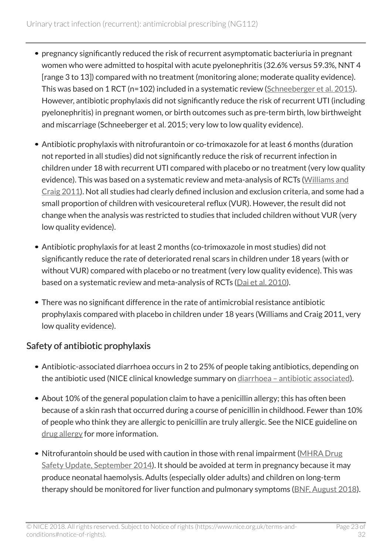- pregnancy significantly reduced the risk of recurrent asymptomatic bacteriuria in pregnant women who were admitted to hospital with acute pyelonephritis (32.6% versus 59.3%, NNT 4 [range 3 to 13]) compared with no treatment (monitoring alone; moderate quality evidence). This was based on 1 RCT (n=102) included in a systematic review ([Schneeberger et al. 2015\)](http://onlinelibrary.wiley.com/wol1/doi/10.1002/14651858.CD009279.pub3/abstract). However, antibiotic prophylaxis did not significantly reduce the risk of recurrent UTI (including pyelonephritis) in pregnant women, or birth outcomes such as pre-term birth, low birthweight and miscarriage (Schneeberger et al. 2015; very low to low quality evidence).
- Antibiotic prophylaxis with nitrofurantoin or co-trimoxazole for at least 6 months (duration not reported in all studies) did not significantly reduce the risk of recurrent infection in children under 18 with recurrent UTI compared with placebo or no treatment (very low quality evidence). This was based on a systematic review and meta-analysis of RCTs [\(Williams and](https://www.ncbi.nlm.nih.gov/pubmed/21412872) [Craig 2011\)](https://www.ncbi.nlm.nih.gov/pubmed/21412872). Not all studies had clearly defined inclusion and exclusion criteria, and some had a small proportion of children with vesicoureteral reflux (VUR). However, the result did not change when the analysis was restricted to studies that included children without VUR (very low quality evidence).
- Antibiotic prophylaxis for at least 2 months (co-trimoxazole in most studies) did not significantly reduce the rate of deteriorated renal scars in children under 18 years (with or without VUR) compared with placebo or no treatment (very low quality evidence). This was based on a systematic review and meta-analysis of RCTs ([Dai et al.](https://www.ncbi.nlm.nih.gov/pubmed/20457696) 2010).
- There was no significant difference in the rate of antimicrobial resistance antibiotic prophylaxis compared with placebo in children under 18 years (Williams and Craig 2011, very low quality evidence).

### Safety of antibiotic prophylaxis

- Antibiotic-associated diarrhoea occurs in 2 to 25% of people taking antibiotics, depending on the antibiotic used (NICE clinical knowledge summary on diarrhoea - antibiotic associated).
- About 10% of the general population claim to have a penicillin allergy; this has often been because of a skin rash that occurred during a course of penicillin in childhood. Fewer than 10% of people who think they are allergic to penicillin are truly allergic. See the NICE guideline on [drug allergy](http://www.nice.org.uk/guidance/cg183) for more information.
- Nitrofurantoin should be used with caution in those with renal impairment [\(MHRA Drug](https://www.gov.uk/drug-safety-update/nitrofurantoin-now-contraindicated-in-most-patients-with-an-estimated-glomerular-filtration-rate-egfr-of-less-than-45-ml-min-1-73m2) [Safety Update, September 2014\)](https://www.gov.uk/drug-safety-update/nitrofurantoin-now-contraindicated-in-most-patients-with-an-estimated-glomerular-filtration-rate-egfr-of-less-than-45-ml-min-1-73m2). It should be avoided at term in pregnancy because it may produce neonatal haemolysis. Adults (especially older adults) and children on long-term therapy should be monitored for liver function and pulmonary symptoms ([BNF, August 2018\)](https://bnf.nice.org.uk/drug/nitrofurantoin.html).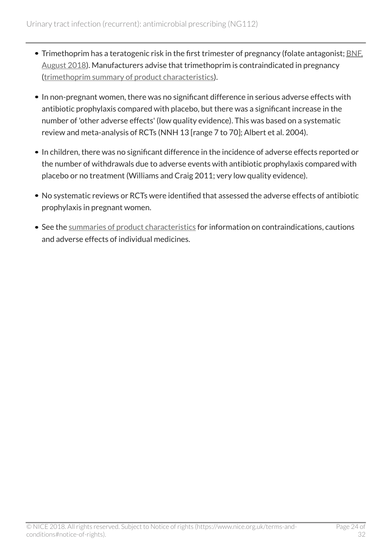- Trimethoprim has a teratogenic risk in the first trimester of pregnancy (folate antagonist; **BNF**, [August 2018\)](https://bnf.nice.org.uk/drug/trimethoprim.html). Manufacturers advise that trimethoprim is contraindicated in pregnancy ([trimethoprim summary of product characteristics\)](https://www.medicines.org.uk/emc/product/5925).
- In non-pregnant women, there was no significant difference in serious adverse effects with antibiotic prophylaxis compared with placebo, but there was a significant increase in the number of 'other adverse effects' (low quality evidence). This was based on a systematic review and meta-analysis of RCTs (NNH 13 [range 7 to 70]; Albert et al. 2004).
- In children, there was no significant difference in the incidence of adverse effects reported or the number of withdrawals due to adverse events with antibiotic prophylaxis compared with placebo or no treatment (Williams and Craig 2011; very low quality evidence).
- No systematic reviews or RCTs were identified that assessed the adverse effects of antibiotic prophylaxis in pregnant women.
- See the [summaries of product characteristics](https://www.medicines.org.uk/emc/) for information on contraindications, cautions and adverse effects of individual medicines.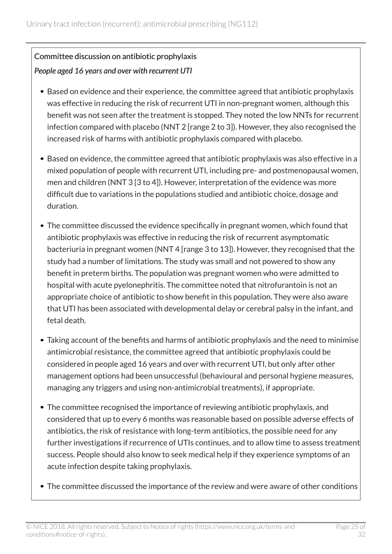### Committee discussion on antibiotic prophylaxis *People aged 16 years and over with recurrent UTI*

- Based on evidence and their experience, the committee agreed that antibiotic prophylaxis was effective in reducing the risk of recurrent UTI in non-pregnant women, although this benefit was not seen after the treatment is stopped. They noted the low NNTs for recurrent infection compared with placebo (NNT 2 [range 2 to 3]). However, they also recognised the increased risk of harms with antibiotic prophylaxis compared with placebo.
- Based on evidence, the committee agreed that antibiotic prophylaxis was also effective in a mixed population of people with recurrent UTI, including pre- and postmenopausal women, men and children (NNT 3 [3 to 4]). However, interpretation of the evidence was more difficult due to variations in the populations studied and antibiotic choice, dosage and duration.
- The committee discussed the evidence specifically in pregnant women, which found that antibiotic prophylaxis was effective in reducing the risk of recurrent asymptomatic bacteriuria in pregnant women (NNT 4 [range 3 to 13]). However, they recognised that the study had a number of limitations. The study was small and not powered to show any benefit in preterm births. The population was pregnant women who were admitted to hospital with acute pyelonephritis. The committee noted that nitrofurantoin is not an appropriate choice of antibiotic to show benefit in this population. They were also aware that UTI has been associated with developmental delay or cerebral palsy in the infant, and fetal death.
- Taking account of the benefits and harms of antibiotic prophylaxis and the need to minimise antimicrobial resistance, the committee agreed that antibiotic prophylaxis could be considered in people aged 16 years and over with recurrent UTI, but only after other management options had been unsuccessful (behavioural and personal hygiene measures, managing any triggers and using non-antimicrobial treatments), if appropriate.
- The committee recognised the importance of reviewing antibiotic prophylaxis, and considered that up to every 6 months was reasonable based on possible adverse effects of antibiotics, the risk of resistance with long-term antibiotics, the possible need for any further investigations if recurrence of UTIs continues, and to allow time to assess treatment success. People should also know to seek medical help if they experience symptoms of an acute infection despite taking prophylaxis.
- The committee discussed the importance of the review and were aware of other conditions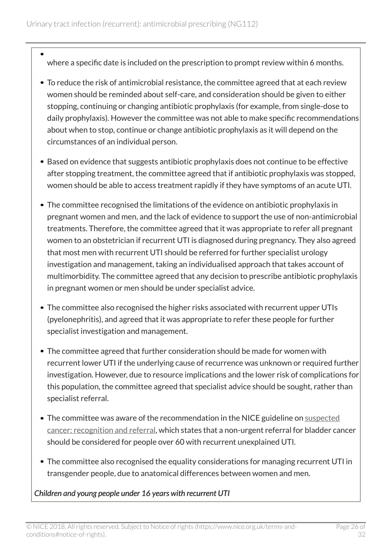- where a specific date is included on the prescription to prompt review within 6 months.
- To reduce the risk of antimicrobial resistance, the committee agreed that at each review women should be reminded about self-care, and consideration should be given to either stopping, continuing or changing antibiotic prophylaxis (for example, from single-dose to daily prophylaxis). However the committee was not able to make specific recommendations about when to stop, continue or change antibiotic prophylaxis as it will depend on the circumstances of an individual person.
- Based on evidence that suggests antibiotic prophylaxis does not continue to be effective after stopping treatment, the committee agreed that if antibiotic prophylaxis was stopped, women should be able to access treatment rapidly if they have symptoms of an acute UTI.
- The committee recognised the limitations of the evidence on antibiotic prophylaxis in pregnant women and men, and the lack of evidence to support the use of non-antimicrobial treatments. Therefore, the committee agreed that it was appropriate to refer all pregnant women to an obstetrician if recurrent UTI is diagnosed during pregnancy. They also agreed that most men with recurrent UTI should be referred for further specialist urology investigation and management, taking an individualised approach that takes account of multimorbidity. The committee agreed that any decision to prescribe antibiotic prophylaxis in pregnant women or men should be under specialist advice.
- The committee also recognised the higher risks associated with recurrent upper UTIs (pyelonephritis), and agreed that it was appropriate to refer these people for further specialist investigation and management.
- The committee agreed that further consideration should be made for women with recurrent lower UTI if the underlying cause of recurrence was unknown or required further investigation. However, due to resource implications and the lower risk of complications for this population, the committee agreed that specialist advice should be sought, rather than specialist referral.
- The committee was aware of the recommendation in the NICE guideline on [suspected](http://www.nice.org.uk/guidance/ng12) [cancer: recognition and referral](http://www.nice.org.uk/guidance/ng12), which states that a non-urgent referral for bladder cancer should be considered for people over 60 with recurrent unexplained UTI.
- The committee also recognised the equality considerations for managing recurrent UTI in transgender people, due to anatomical differences between women and men.

*Children and young people under 16 years with recurrent UTI*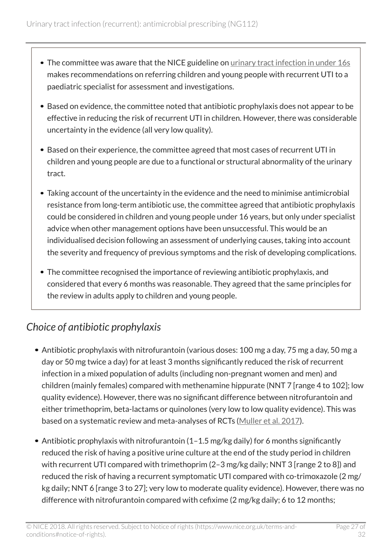- The committee was aware that the NICE guideline on [urinary tract infection in under](http://www.nice.org.uk/guidance/cg54) 16s makes recommendations on referring children and young people with recurrent UTI to a paediatric specialist for assessment and investigations.
- Based on evidence, the committee noted that antibiotic prophylaxis does not appear to be effective in reducing the risk of recurrent UTI in children. However, there was considerable uncertainty in the evidence (all very low quality).
- Based on their experience, the committee agreed that most cases of recurrent UTI in children and young people are due to a functional or structural abnormality of the urinary tract.
- Taking account of the uncertainty in the evidence and the need to minimise antimicrobial resistance from long-term antibiotic use, the committee agreed that antibiotic prophylaxis could be considered in children and young people under 16 years, but only under specialist advice when other management options have been unsuccessful. This would be an individualised decision following an assessment of underlying causes, taking into account the severity and frequency of previous symptoms and the risk of developing complications.
- The committee recognised the importance of reviewing antibiotic prophylaxis, and considered that every 6 months was reasonable. They agreed that the same principles for the review in adults apply to children and young people.

# <span id="page-26-0"></span>*Choice of antibiotic prophylaxis*

- Antibiotic prophylaxis with nitrofurantoin (various doses: 100 mg a day, 75 mg a day, 50 mg a day or 50 mg twice a day) for at least 3 months significantly reduced the risk of recurrent infection in a mixed population of adults (including non-pregnant women and men) and children (mainly females) compared with methenamine hippurate (NNT 7 [range 4 to 102]; low quality evidence). However, there was no significant difference between nitrofurantoin and either trimethoprim, beta-lactams or quinolones (very low to low quality evidence). This was based on a systematic review and meta-analyses of RCTs [\(Muller et al.](https://www.ncbi.nlm.nih.gov/m/pubmed/27542332/) 2017).
- Antibiotic prophylaxis with nitrofurantoin (1-1.5 mg/kg daily) for 6 months significantly reduced the risk of having a positive urine culture at the end of the study period in children with recurrent UTI compared with trimethoprim (2-3 mg/kg daily; NNT 3 [range 2 to 8]) and reduced the risk of having a recurrent symptomatic UTI compared with co-trimoxazole (2 mg/ kg daily; NNT 6 [range 3 to 27]; very low to moderate quality evidence). However, there was no difference with nitrofurantoin compared with cefixime (2 mg/kg daily; 6 to 12 months;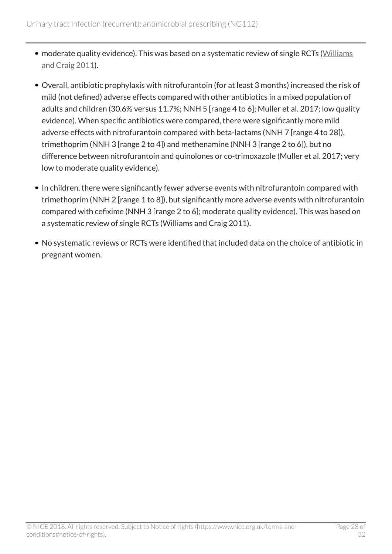- moderate quality evidence). This was based on a systematic review of single RCTs [\(Williams](https://www.ncbi.nlm.nih.gov/pubmed/21412872) [and Craig](https://www.ncbi.nlm.nih.gov/pubmed/21412872) 2011).
- Overall, antibiotic prophylaxis with nitrofurantoin (for at least 3 months) increased the risk of mild (not defined) adverse effects compared with other antibiotics in a mixed population of adults and children (30.6% versus 11.7%; NNH 5 [range 4 to 6]; Muller et al. 2017; low quality evidence). When specific antibiotics were compared, there were significantly more mild adverse effects with nitrofurantoin compared with beta-lactams (NNH 7 [range 4 to 28]), trimethoprim (NNH 3 [range 2 to 4]) and methenamine (NNH 3 [range 2 to 6]), but no difference between nitrofurantoin and quinolones or co-trimoxazole (Muller et al. 2017; very low to moderate quality evidence).
- In children, there were significantly fewer adverse events with nitrofurantoin compared with trimethoprim (NNH 2 [range 1 to 8]), but significantly more adverse events with nitrofurantoin compared with cefixime (NNH 3 [range 2 to 6]; moderate quality evidence). This was based on a systematic review of single RCTs (Williams and Craig 2011).
- No systematic reviews or RCTs were identified that included data on the choice of antibiotic in pregnant women.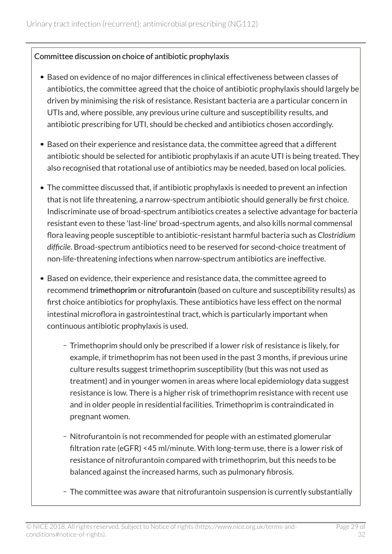#### Committee discussion on choice of antibiotic prophylaxis

- Based on evidence of no major differences in clinical effectiveness between classes of antibiotics, the committee agreed that the choice of antibiotic prophylaxis should largely be driven by minimising the risk of resistance. Resistant bacteria are a particular concern in UTIs and, where possible, any previous urine culture and susceptibility results, and antibiotic prescribing for UTI, should be checked and antibiotics chosen accordingly.
- Based on their experience and resistance data, the committee agreed that a different antibiotic should be selected for antibiotic prophylaxis if an acute UTI is being treated. They also recognised that rotational use of antibiotics may be needed, based on local policies.
- The committee discussed that, if antibiotic prophylaxis is needed to prevent an infection that is not life threatening, a narrow-spectrum antibiotic should generally be first choice. Indiscriminate use of broad-spectrum antibiotics creates a selective advantage for bacteria resistant even to these 'last-line' broad-spectrum agents, and also kills normal commensal flora leaving people susceptible to antibiotic-resistant harmful bacteria such as *Clostridium difficile*. Broad-spectrum antibiotics need to be reserved for second-choice treatment of non-life-threatening infections when narrow-spectrum antibiotics are ineffective.
- Based on evidence, their experience and resistance data, the committee agreed to recommend trimethoprim or nitrofurantoin (based on culture and susceptibility results) as first choice antibiotics for prophylaxis. These antibiotics have less effect on the normal intestinal microflora in gastrointestinal tract, which is particularly important when continuous antibiotic prophylaxis is used.
	- Trimethoprim should only be prescribed if a lower risk of resistance is likely, for example, if trimethoprim has not been used in the past 3 months, if previous urine culture results suggest trimethoprim susceptibility (but this was not used as treatment) and in younger women in areas where local epidemiology data suggest resistance is low. There is a higher risk of trimethoprim resistance with recent use and in older people in residential facilities. Trimethoprim is contraindicated in pregnant women.
	- Nitrofurantoin is not recommended for people with an estimated glomerular filtration rate (eGFR) <45 ml/minute. With long-term use, there is a lower risk of resistance of nitrofurantoin compared with trimethoprim, but this needs to be balanced against the increased harms, such as pulmonary fibrosis.
	- The committee was aware that nitrofurantoin suspension is currently substantially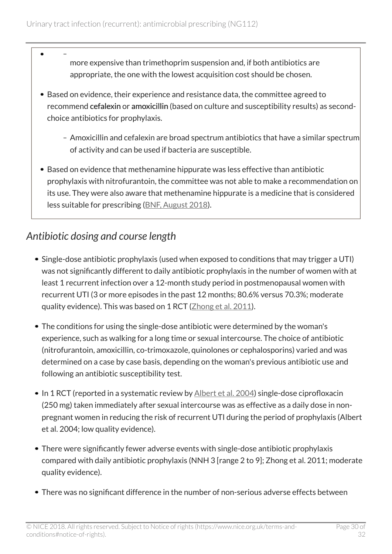- more expensive than trimethoprim suspension and, if both antibiotics are appropriate, the one with the lowest acquisition cost should be chosen.
- Based on evidence, their experience and resistance data, the committee agreed to recommend cefalexin or amoxicillin (based on culture and susceptibility results) as secondchoice antibiotics for prophylaxis.
	- Amoxicillin and cefalexin are broad spectrum antibiotics that have a similar spectrum of activity and can be used if bacteria are susceptible.
- $\bullet$  Based on evidence that methenamine hippurate was less effective than antibiotic prophylaxis with nitrofurantoin, the committee was not able to make a recommendation on its use. They were also aware that methenamine hippurate is a medicine that is considered less suitable for prescribing [\(BNF, August](https://bnf.nice.org.uk/drug/methenamine-hippurate.html#lessSuitableForPrescribings) 2018).

# <span id="page-29-0"></span>*Antibiotic dosing and course length*

- Single-dose antibiotic prophylaxis (used when exposed to conditions that may trigger a UTI) was not significantly different to daily antibiotic prophylaxis in the number of women with at least 1 recurrent infection over a 12-month study period in postmenopausal women with recurrent UTI (3 or more episodes in the past 12 months; 80.6% versus 70.3%; moderate quality evidence). This was based on 1 RCT [\(Zhong et al.](https://www.ncbi.nlm.nih.gov/pubmed/22289552) 2011).
- The conditions for using the single-dose antibiotic were determined by the woman's experience, such as walking for a long time or sexual intercourse. The choice of antibiotic (nitrofurantoin, amoxicillin, co-trimoxazole, quinolones or cephalosporins) varied and was determined on a case by case basis, depending on the woman's previous antibiotic use and following an antibiotic susceptibility test.
- In 1 RCT (reported in a systematic review by [Albert et al. 2004\)](https://www.ncbi.nlm.nih.gov/pubmed/15266443) single-dose ciprofloxacin (250 mg) taken immediately after sexual intercourse was as effective as a daily dose in nonpregnant women in reducing the risk of recurrent UTI during the period of prophylaxis (Albert et al. 2004; low quality evidence).
- There were significantly fewer adverse events with single-dose antibiotic prophylaxis compared with daily antibiotic prophylaxis (NNH 3 [range 2 to 9]; Zhong et al. 2011; moderate quality evidence).
- There was no significant difference in the number of non-serious adverse effects between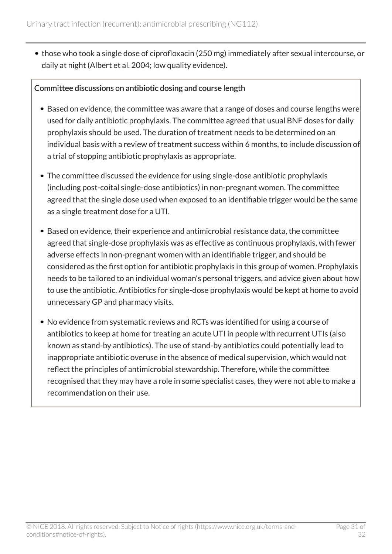those who took a single dose of ciprofloxacin (250 mg) immediately after sexual intercourse, or daily at night (Albert et al. 2004; low quality evidence).

#### Committee discussions on antibiotic dosing and course length

- Based on evidence, the committee was aware that a range of doses and course lengths were used for daily antibiotic prophylaxis. The committee agreed that usual BNF doses for daily prophylaxis should be used. The duration of treatment needs to be determined on an individual basis with a review of treatment success within 6 months, to include discussion of a trial of stopping antibiotic prophylaxis as appropriate.
- The committee discussed the evidence for using single-dose antibiotic prophylaxis (including post-coital single-dose antibiotics) in non-pregnant women. The committee agreed that the single dose used when exposed to an identifiable trigger would be the same as a single treatment dose for a UTI.
- Based on evidence, their experience and antimicrobial resistance data, the committee agreed that single-dose prophylaxis was as effective as continuous prophylaxis, with fewer adverse effects in non-pregnant women with an identifiable trigger, and should be considered as the first option for antibiotic prophylaxis in this group of women. Prophylaxis needs to be tailored to an individual woman's personal triggers, and advice given about how to use the antibiotic. Antibiotics for single-dose prophylaxis would be kept at home to avoid unnecessary GP and pharmacy visits.
- No evidence from systematic reviews and RCTs was identified for using a course of antibiotics to keep at home for treating an acute UTI in people with recurrent UTIs (also known as stand-by antibiotics). The use of stand-by antibiotics could potentially lead to inappropriate antibiotic overuse in the absence of medical supervision, which would not reflect the principles of antimicrobial stewardship. Therefore, while the committee recognised that they may have a role in some specialist cases, they were not able to make a recommendation on their use.